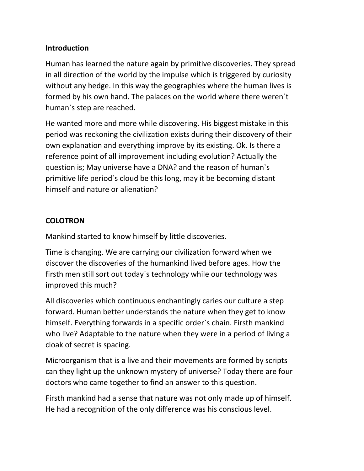## **Introduction**

Human has learned the nature again by primitive discoveries. They spread in all direction of the world by the impulse which is triggered by curiosity without any hedge. In this way the geographies where the human lives is formed by his own hand. The palaces on the world where there weren`t human`s step are reached.

He wanted more and more while discovering. His biggest mistake in this period was reckoning the civilization exists during their discovery of their own explanation and everything improve by its existing. Ok. Is there a reference point of all improvement including evolution? Actually the question is; May universe have a DNA? and the reason of human`s primitive life period`s cloud be this long, may it be becoming distant himself and nature or alienation?

## **COLOTRON**

Mankind started to know himself by little discoveries.

Time is changing. We are carrying our civilization forward when we discover the discoveries of the humankind lived before ages. How the firsth men still sort out today`s technology while our technology was improved this much?

All discoveries which continuous enchantingly caries our culture a step forward. Human better understands the nature when they get to know himself. Everything forwards in a specific order`s chain. Firsth mankind who live? Adaptable to the nature when they were in a period of living a cloak of secret is spacing.

Microorganism that is a live and their movements are formed by scripts can they light up the unknown mystery of universe? Today there are four doctors who came together to find an answer to this question.

Firsth mankind had a sense that nature was not only made up of himself. He had a recognition of the only difference was his conscious level.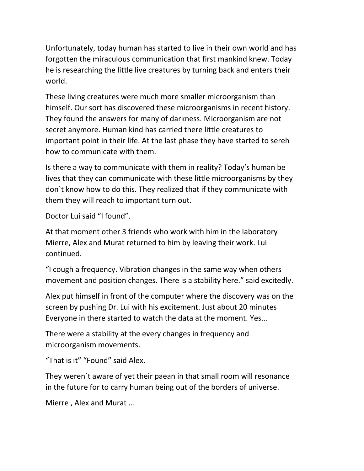Unfortunately, today human has started to live in their own world and has forgotten the miraculous communication that first mankind knew. Today he is researching the little live creatures by turning back and enters their world.

These living creatures were much more smaller microorganism than himself. Our sort has discovered these microorganisms in recent history. They found the answers for many of darkness. Microorganism are not secret anymore. Human kind has carried there little creatures to important point in their life. At the last phase they have started to sereh how to communicate with them.

Is there a way to communicate with them in reality? Today's human be lives that they can communicate with these little microorganisms by they don`t know how to do this. They realized that if they communicate with them they will reach to important turn out.

Doctor Lui said "I found".

At that moment other 3 friends who work with him in the laboratory Mierre, Alex and Murat returned to him by leaving their work. Lui continued.

"I cough a frequency. Vibration changes in the same way when others movement and position changes. There is a stability here." said excitedly.

Alex put himself in front of the computer where the discovery was on the screen by pushing Dr. Lui with his excitement. Just about 20 minutes Everyone in there started to watch the data at the moment. Yes...

There were a stability at the every changes in frequency and microorganism movements.

"That is it" "Found" said Alex.

They weren`t aware of yet their paean in that small room will resonance in the future for to carry human being out of the borders of universe.

Mierre , Alex and Murat …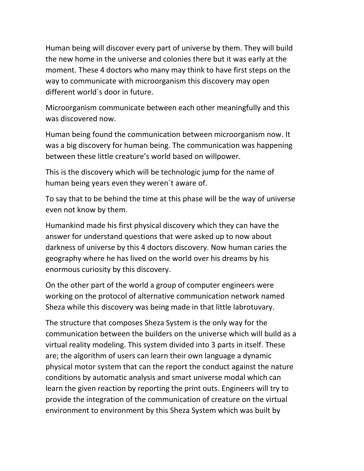Human being will discover every part of universe by them. They will build the new home in the universe and colonies there but it was early at the moment. These 4 doctors who many may think to have first steps on the way to communicate with microorganism this discovery may open different world`s door in future.

Microorganism communicate between each other meaningfully and this was discovered now.

Human being found the communication between microorganism now. It was a big discovery for human being. The communication was happening between these little creature's world based on willpower.

This is the discovery which will be technologic jump for the name of human being years even they weren`t aware of.

To say that to be behind the time at this phase will be the way of universe even not know by them.

Humankind made his first physical discovery which they can have the answer for understand questions that were asked up to now about darkness of universe by this 4 doctors discovery. Now human caries the geography where he has lived on the world over his dreams by his enormous curiosity by this discovery.

On the other part of the world a group of computer engineers were working on the protocol of alternative communication network named Sheza while this discovery was being made in that little labrotuvary.

The structure that composes Sheza System is the only way for the communication between the builders on the universe which will build as a virtual reality modeling. This system divided into 3 parts in itself. These are; the algorithm of users can learn their own language a dynamic physical motor system that can the report the conduct against the nature conditions by automatic analysis and smart universe modal which can learn the given reaction by reporting the print outs. Engineers will try to provide the integration of the communication of creature on the virtual environment to environment by this Sheza System which was built by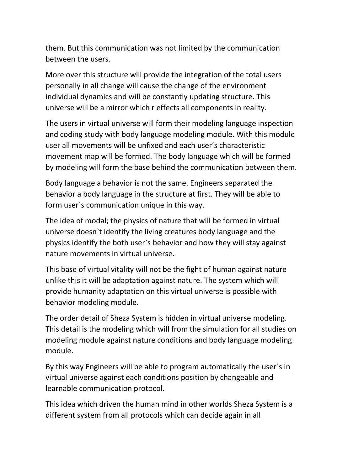them. But this communication was not limited by the communication between the users.

More over this structure will provide the integration of the total users personally in all change will cause the change of the environment individual dynamics and will be constantly updating structure. This universe will be a mirror which r effects all components in reality.

The users in virtual universe will form their modeling language inspection and coding study with body language modeling module. With this module user all movements will be unfixed and each user's characteristic movement map will be formed. The body language which will be formed by modeling will form the base behind the communication between them.

Body language a behavior is not the same. Engineers separated the behavior a body language in the structure at first. They will be able to form user`s communication unique in this way.

The idea of modal; the physics of nature that will be formed in virtual universe doesn`t identify the living creatures body language and the physics identify the both user`s behavior and how they will stay against nature movements in virtual universe.

This base of virtual vitality will not be the fight of human against nature unlike this it will be adaptation against nature. The system which will provide humanity adaptation on this virtual universe is possible with behavior modeling module.

The order detail of Sheza System is hidden in virtual universe modeling. This detail is the modeling which will from the simulation for all studies on modeling module against nature conditions and body language modeling module.

By this way Engineers will be able to program automatically the user`s in virtual universe against each conditions position by changeable and learnable communication protocol.

This idea which driven the human mind in other worlds Sheza System is a different system from all protocols which can decide again in all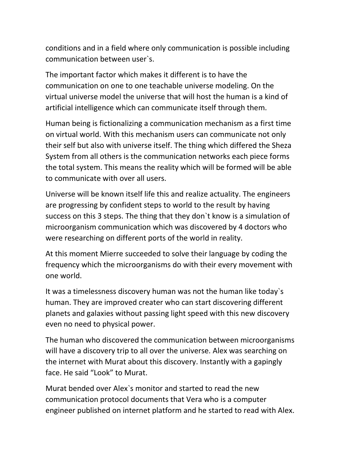conditions and in a field where only communication is possible including communication between user`s.

The important factor which makes it different is to have the communication on one to one teachable universe modeling. On the virtual universe model the universe that will host the human is a kind of artificial intelligence which can communicate itself through them.

Human being is fictionalizing a communication mechanism as a first time on virtual world. With this mechanism users can communicate not only their self but also with universe itself. The thing which differed the Sheza System from all others is the communication networks each piece forms the total system. This means the reality which will be formed will be able to communicate with over all users.

Universe will be known itself life this and realize actuality. The engineers are progressing by confident steps to world to the result by having success on this 3 steps. The thing that they don`t know is a simulation of microorganism communication which was discovered by 4 doctors who were researching on different ports of the world in reality.

At this moment Mierre succeeded to solve their language by coding the frequency which the microorganisms do with their every movement with one world.

It was a timelessness discovery human was not the human like today`s human. They are improved creater who can start discovering different planets and galaxies without passing light speed with this new discovery even no need to physical power.

The human who discovered the communication between microorganisms will have a discovery trip to all over the universe. Alex was searching on the internet with Murat about this discovery. Instantly with a gapingly face. He said "Look" to Murat.

Murat bended over Alex`s monitor and started to read the new communication protocol documents that Vera who is a computer engineer published on internet platform and he started to read with Alex.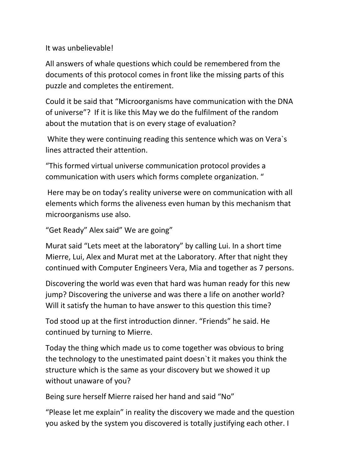It was unbelievable!

All answers of whale questions which could be remembered from the documents of this protocol comes in front like the missing parts of this puzzle and completes the entirement.

Could it be said that "Microorganisms have communication with the DNA of universe"? If it is like this May we do the fulfilment of the random about the mutation that is on every stage of evaluation?

White they were continuing reading this sentence which was on Vera`s lines attracted their attention.

"This formed virtual universe communication protocol provides a communication with users which forms complete organization. "

Here may be on today's reality universe were on communication with all elements which forms the aliveness even human by this mechanism that microorganisms use also.

```
"Get Ready" Alex said" We are going"
```
Murat said "Lets meet at the laboratory" by calling Lui. In a short time Mierre, Lui, Alex and Murat met at the Laboratory. After that night they continued with Computer Engineers Vera, Mia and together as 7 persons.

Discovering the world was even that hard was human ready for this new jump? Discovering the universe and was there a life on another world? Will it satisfy the human to have answer to this question this time?

Tod stood up at the first introduction dinner. "Friends" he said. He continued by turning to Mierre.

Today the thing which made us to come together was obvious to bring the technology to the unestimated paint doesn`t it makes you think the structure which is the same as your discovery but we showed it up without unaware of you?

Being sure herself Mierre raised her hand and said "No"

"Please let me explain" in reality the discovery we made and the question you asked by the system you discovered is totally justifying each other. I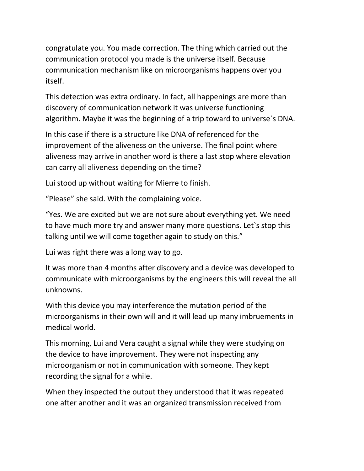congratulate you. You made correction. The thing which carried out the communication protocol you made is the universe itself. Because communication mechanism like on microorganisms happens over you itself.

This detection was extra ordinary. In fact, all happenings are more than discovery of communication network it was universe functioning algorithm. Maybe it was the beginning of a trip toward to universe`s DNA.

In this case if there is a structure like DNA of referenced for the improvement of the aliveness on the universe. The final point where aliveness may arrive in another word is there a last stop where elevation can carry all aliveness depending on the time?

Lui stood up without waiting for Mierre to finish.

"Please" she said. With the complaining voice.

"Yes. We are excited but we are not sure about everything yet. We need to have much more try and answer many more questions. Let`s stop this talking until we will come together again to study on this."

Lui was right there was a long way to go.

It was more than 4 months after discovery and a device was developed to communicate with microorganisms by the engineers this will reveal the all unknowns.

With this device you may interference the mutation period of the microorganisms in their own will and it will lead up many imbruements in medical world.

This morning, Lui and Vera caught a signal while they were studying on the device to have improvement. They were not inspecting any microorganism or not in communication with someone. They kept recording the signal for a while.

When they inspected the output they understood that it was repeated one after another and it was an organized transmission received from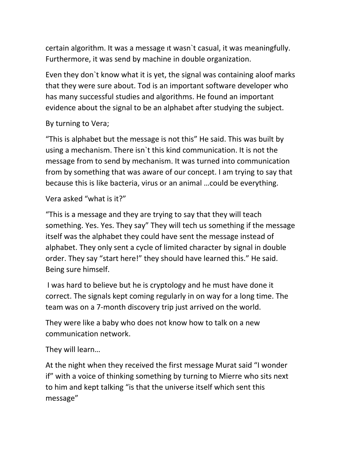certain algorithm. It was a message ıt wasn`t casual, it was meaningfully. Furthermore, it was send by machine in double organization.

Even they don`t know what it is yet, the signal was containing aloof marks that they were sure about. Tod is an important software developer who has many successful studies and algorithms. He found an important evidence about the signal to be an alphabet after studying the subject.

## By turning to Vera;

"This is alphabet but the message is not this" He said. This was built by using a mechanism. There isn`t this kind communication. It is not the message from to send by mechanism. It was turned into communication from by something that was aware of our concept. I am trying to say that because this is like bacteria, virus or an animal …could be everything.

## Vera asked "what is it?"

"This is a message and they are trying to say that they will teach something. Yes. Yes. They say" They will tech us something if the message itself was the alphabet they could have sent the message instead of alphabet. They only sent a cycle of limited character by signal in double order. They say "start here!" they should have learned this." He said. Being sure himself.

I was hard to believe but he is cryptology and he must have done it correct. The signals kept coming regularly in on way for a long time. The team was on a 7-month discovery trip just arrived on the world.

They were like a baby who does not know how to talk on a new communication network.

They will learn…

At the night when they received the first message Murat said "I wonder if" with a voice of thinking something by turning to Mierre who sits next to him and kept talking "is that the universe itself which sent this message"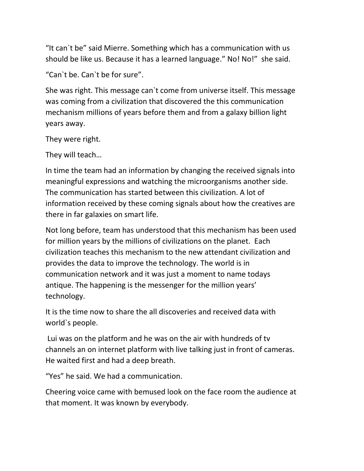"It can`t be" said Mierre. Something which has a communication with us should be like us. Because it has a learned language." No! No!" she said.

"Can`t be. Can`t be for sure".

She was right. This message can`t come from universe itself. This message was coming from a civilization that discovered the this communication mechanism millions of years before them and from a galaxy billion light years away.

They were right.

They will teach…

In time the team had an information by changing the received signals into meaningful expressions and watching the microorganisms another side. The communication has started between this civilization. A lot of information received by these coming signals about how the creatives are there in far galaxies on smart life.

Not long before, team has understood that this mechanism has been used for million years by the millions of civilizations on the planet. Each civilization teaches this mechanism to the new attendant civilization and provides the data to improve the technology. The world is in communication network and it was just a moment to name todays antique. The happening is the messenger for the million years' technology.

It is the time now to share the all discoveries and received data with world`s people.

Lui was on the platform and he was on the air with hundreds of tv channels an on internet platform with live talking just in front of cameras. He waited first and had a deep breath.

"Yes" he said. We had a communication.

Cheering voice came with bemused look on the face room the audience at that moment. It was known by everybody.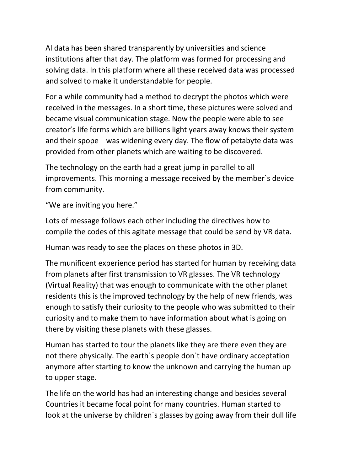Al data has been shared transparently by universities and science institutions after that day. The platform was formed for processing and solving data. In this platform where all these received data was processed and solved to make it understandable for people.

For a while community had a method to decrypt the photos which were received in the messages. In a short time, these pictures were solved and became visual communication stage. Now the people were able to see creator's life forms which are billions light years away knows their system and their spope was widening every day. The flow of petabyte data was provided from other planets which are waiting to be discovered.

The technology on the earth had a great jump in parallel to all improvements. This morning a message received by the member`s device from community.

"We are inviting you here."

Lots of message follows each other including the directives how to compile the codes of this agitate message that could be send by VR data.

Human was ready to see the places on these photos in 3D.

The munificent experience period has started for human by receiving data from planets after first transmission to VR glasses. The VR technology (Virtual Reality) that was enough to communicate with the other planet residents this is the improved technology by the help of new friends, was enough to satisfy their curiosity to the people who was submitted to their curiosity and to make them to have information about what is going on there by visiting these planets with these glasses.

Human has started to tour the planets like they are there even they are not there physically. The earth`s people don`t have ordinary acceptation anymore after starting to know the unknown and carrying the human up to upper stage.

The life on the world has had an interesting change and besides several Countries it became focal point for many countries. Human started to look at the universe by children`s glasses by going away from their dull life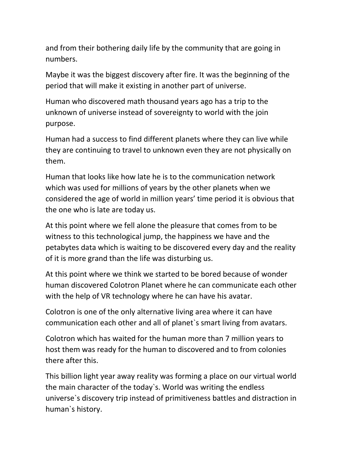and from their bothering daily life by the community that are going in numbers.

Maybe it was the biggest discovery after fire. It was the beginning of the period that will make it existing in another part of universe.

Human who discovered math thousand years ago has a trip to the unknown of universe instead of sovereignty to world with the join purpose.

Human had a success to find different planets where they can live while they are continuing to travel to unknown even they are not physically on them.

Human that looks like how late he is to the communication network which was used for millions of years by the other planets when we considered the age of world in million years' time period it is obvious that the one who is late are today us.

At this point where we fell alone the pleasure that comes from to be witness to this technological jump, the happiness we have and the petabytes data which is waiting to be discovered every day and the reality of it is more grand than the life was disturbing us.

At this point where we think we started to be bored because of wonder human discovered Colotron Planet where he can communicate each other with the help of VR technology where he can have his avatar.

Colotron is one of the only alternative living area where it can have communication each other and all of planet`s smart living from avatars.

Colotron which has waited for the human more than 7 million years to host them was ready for the human to discovered and to from colonies there after this.

This billion light year away reality was forming a place on our virtual world the main character of the today`s. World was writing the endless universe`s discovery trip instead of primitiveness battles and distraction in human`s history.